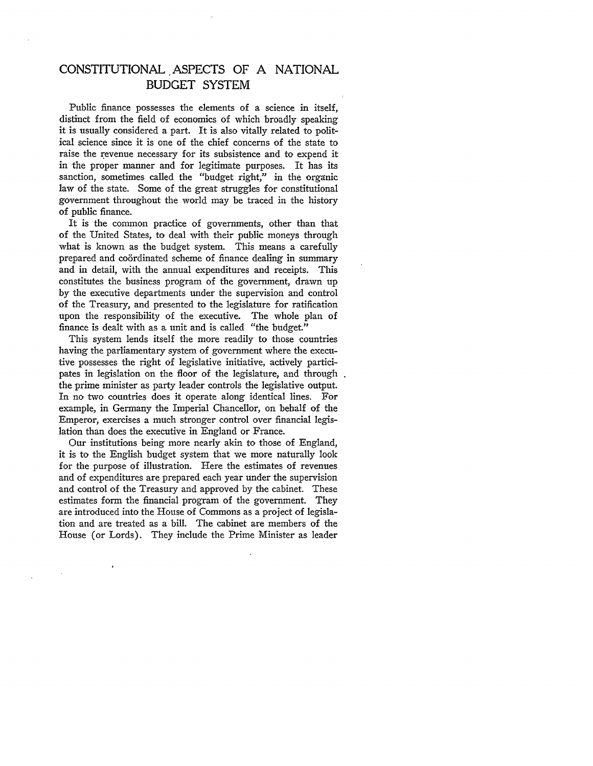## CONSTITUTIONAL ASPECTS OF A NATIONAL BUDGET SYSTEM

Public finance possesses the elements of a science in itself, distinct from the field of economics of which broadly speaking it is usually considered a part. It is also vitally related to political science since it is one of the chief concerns of the state to raise the revenue necessary for its subsistence and to expend it in the proper manner and for legitimate purposes. It has its sanction, sometimes called the "budget right," in the organic law of the state. Some of the great struggles for constitutional government throughout the world may be traced in the history of public finance.

It is the common practice of governments, other than that of the United States, to deal with their public moneys through what is known as the budget system. This means a carefully prepared and coördinated scheme of finance dealing in summary and in detail, with the annual expenditures and receipts. This constitutes the business program of the government, drawn up by the executive departments under the supervision and control of the Treasury, and presented to the legislature for ratification upon the responsibility of the executive. The whole plan of finance is dealt with as a unit and is called "the budget."

This system lends itself the more readily to those countries having the parliamentary system of government where the executive possesses the right of legislative initiative, actively participates in legislation on the floor of the legislature, and through. the prime minister as party leader controls the legislative output. In no two countries does it operate along identical lines. For example, in Germany the Imperial Chancellor, on behalf of the Emperor, exercises a much stronger control over financial legislation than does the executive in England or France.

Our institutions being more nearly akin to those of England, it is to the English budget system that we more naturally look for the purpose of illustration. Here the estimates of revenues and of expenditures are prepared each year under the supervision and control of the Treasury and approved by the cabinet. These estimates form the financial program of the government. They are introduced into the House of Commons as a project of legislation and are treated as a bill. The cabinet are members of the House (or Lords). They include the Prime Minister as leader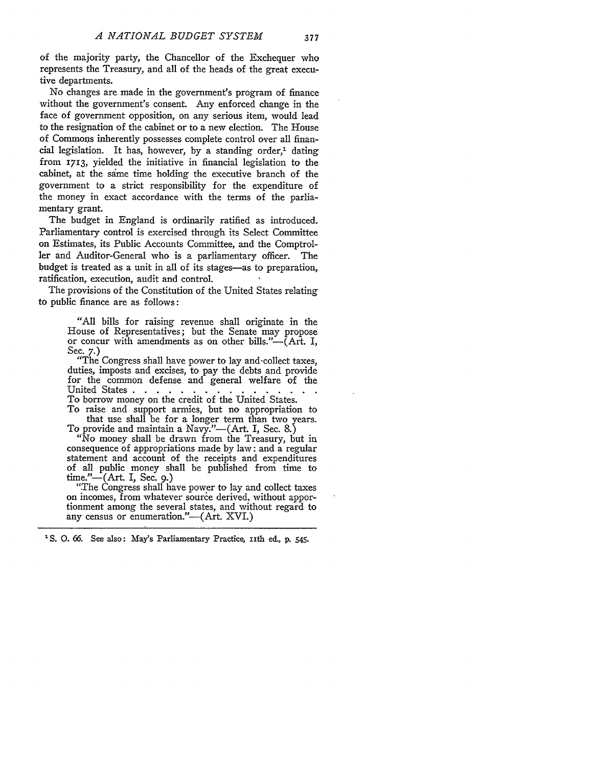of the majority party, the Chancellor of the Exchequer who represents the Treasury, and all of the heads of the great executive departments.

No changes are made in the government's program of finance without the government's consent. Any enforced change in the face of government opposition, on any serious item, would lead to the resignation of the cabinet or to a new election. The House of Commons inherently possesses complete control over all financial legislation. It has, however, by a standing order,<sup>1</sup> dating from 1713, yielded the initiative in financial legislation to the cabinet, at the same time holding the executive branch of the government to a strict responsibility for the expenditure of the money in exact accordance with the terms of the parliamentary grant.

The budget in England is ordinarily ratified as introduced. Parliamentary control is exercised through its Select Committee on Estimates, its Public Accounts Committee, and the Comptroller and Auditor-General who is a parliamentary officer. The budget is treated as a unit in all of its stages-as to preparation, ratification, execution, audit and control.

The provisions of the Constitution of the United States relating to public finance are as follows:

> "All bills for raising revenue shall originate in the House of Representatives; but the Senate may propose or concur with amendments as on other bills." $-(Art. I,$ Sec. 7.)

> "The Congress shall have power to lay and-collect taxes, for the common defense and general welfare of the United States  $\dots \dots \dots \dots \dots \dots$

To borrow money on the credit of the United States.

To raise and support armies, but no appropriation to that use shall be for a longer term than two years. To provide and maintain a Navy."-(Art. I, Sec. 8.)

"No money shall be drawn from the Treasury, but in consequence of appropriations made by law: and a regular statement and account of the receipts and expenditures of all public money shall be published from time to time."--(Art. I, Sec. **9.)**

"The Congress shall have power to lay and collect taxes on incomes, from whatever source derived, without apportionment among the several states, and without regard to any census or enumeration." $-(Art. XVI.)$ 

<sup>1</sup> S. O. 66. See also: May's Parliamentary Practice, 11th ed., p. 545.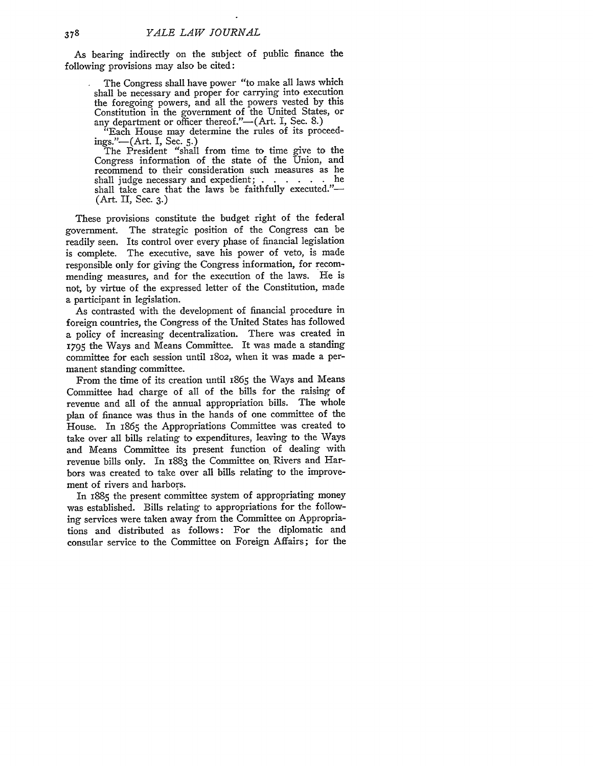As bearing indirectly on the subject of public finance the following provisions may also be cited:

> The Congress shall have power "to make all laws which shall be necessary and proper for carrying into execution the foregoing powers, and all the powers vested by this Constitution in the government of the United States, or any department or officer thereof." $-$ (Art. I, Sec. 8.)

> "Each House may determine the rules of its proceedings."--(Art. I, Sec. **5.)**

The President "shall from time to time give to the Congress information of the state of the Union, and recommend to their consideration such measures as he shall judge necessary and expedient; ........ **.** he shall take care that the laws be faithfully executed."-(Art. II, Sec. **3.)**

These provisions constitute the budget right of the federal government. The strategic position of the Congress can be readily seen. Its control over every phase of financial legislation is complete. The executive, save his power of veto, is made responsible only for giving the Congress information, for recommending measures, and for the execution of the laws. He is not, by virtue of the expressed letter of the Constitution, made a participant in legislation.

As contrasted with the development of financial procedure in foreign countries, the Congress of the United States has followed a policy of increasing decentralization. There was created in **1795** the Ways and Means Committee. It was made a standing committee for each session until 18o2, when it was made a permanent standing committee.

From the time of its creation until 1865 the Ways and Means Committee had charge of all of the bills for the raising of revenue and all of the annual appropriation bills. The whole plan of finance was thus in the hands of one committee of the House. In 1865 the Appropriations Committee was created to take over all bills relating to expenditures, leaving to the Ways and Means Committee its present function of dealing with revenue bills only. In 1883 the Committee on Rivers and Harbors was created to take over all bills relating to the improvement of rivers and harbors.

In 1885 the present committee system of appropriating money was established. Bills relating to appropriations for the following services were taken away from the Committee on Appropriations and distributed as follows: For the diplomatic and consular service to the Committee on Foreign Affairs; for the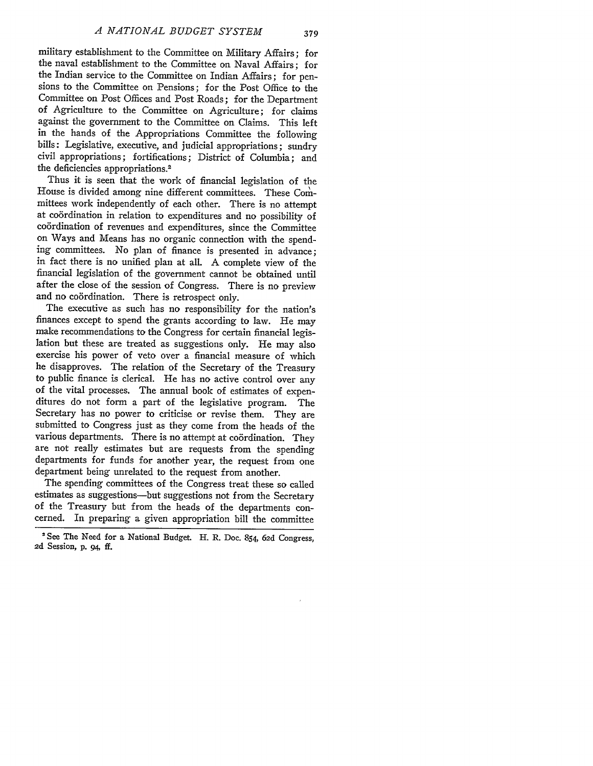military establishment to the Committee on Military Affairs; for the naval establishment to the Committee on Naval Affairs; for the Indian service to the Committee on Indian Affairs; for pensions to the Committee on Pensions; for the Post Office to the Committee on Post Offices and Post Roads; for the Department of Agriculture to the Committee on Agriculture; for claims against the government to the Committee on Claims. This left in the hands of the Appropriations Committee the following bills: Legislative, executive, and judicial appropriations; sundry civil appropriations; fortifications; District of Columbia; and the deficiencies appropriations.<sup>2</sup>

Thus it is seen that the work of financial legislation of the House is divided among nine different committees. These Committees work independently of each other. There is no attempt at co6rdination in relation to expenditures and no possibility of coördination of revenues and expenditures, since the Committee on Ways and Means has no organic connection with the spending committees. No plan of finance is presented in advance; in fact there is no unified plan at all. A complete view of the financial legislation of the government cannot be obtained until after the close of the session of Congress. There is no preview and no coördination. There is retrospect only.

The executive as such has no responsibility for the nation's finances except to spend the grants according to law. He may make recommendations to the Congress for certain financial legislation but these are treated as suggestions only. He may also exercise his power of veto over a financial measure of which he disapproves. The relation of the Secretary of the Treasury to public finance is clerical. He has no active control over any of the vital processes. The annual book of estimates of expenditures do not form a part of the legislative program. The Secretary has no power to criticise or revise them. They are submitted to Congress just as they come from the heads of the various departments. There is no attempt at coördination. They are not really estimates but are requests from the spending departments for funds for another year, the request from one department being unrelated to the request from another.

The spending committees of the Congress treat these so called estimates as suggestions-but suggestions not from the Secretary of the Treasury but from the heads of the departments concerned. In preparing a given appropriation bill the committee

<sup>&#</sup>x27;See The Need for a National Budget. H. R. Doc. 854, **62d** Congress, **2d** Session, p. *94, ff.*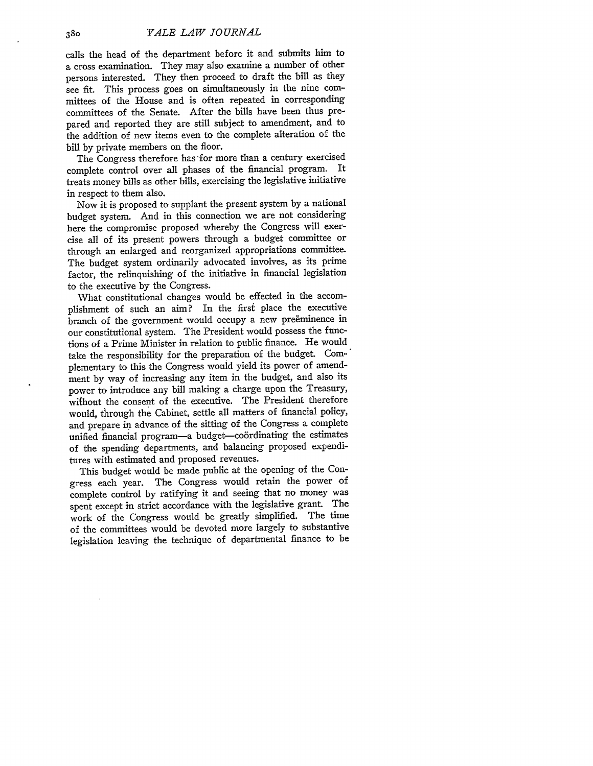calls the head of the department before it and submits him to a cross examination. They may also examine a number of other persons interested. They then proceed to draft the bill as they see fit. This process goes on simultaneously in the nine committees of the House and is often repeated in corresponding committees of the Senate. After the bills have been thus prepared and reported they are still subject to amendment, and to the addition of new items even to the complete alteration of the bill by private members on the floor.

The Congress therefore has for more than a century exercised complete control over all phases of the financial program. It treats money bills as other bills, exercising the legislative initiative in respect to them also.

Now it is proposed to supplant the present system by a national budget system. And in this connection we are not considering here the compromise proposed whereby the Congress will exercise all of its present powers through a budget committee or through an enlarged and reorganized appropriations committee. The budget system ordinarily advocated involves, as its prime factor, the relinquishing of the initiative in financial legislation to the executive by the Congress.

What constitutional changes would be effected in the accomplishment of such an aim? In the first place the executive branch of the government would occupy a new preeminence in our constitutional system. The President would possess the functions of a Prime Minister in relation to public finance. He would take the responsibility for the preparation of the budget. Com-' plementary to this the Congress would yield its power of amendment by way of increasing any item in the budget, and also its power to introduce any bill making a charge upon the Treasury, without the consent of the executive. The President therefore would, through the Cabinet, settle all matters of financial policy, and prepare in advance of the sitting of the Congress a complete unified financial program-a budget-coördinating the estimates of the spending departments, and balancing proposed expenditures with estimated and proposed revenues.

This budget would be made public at the opening of the Congress each year. The Congress would retain the power of complete control by ratifying it and seeing that no money was spent except in strict accordance with the legislative grant. The work of the Congress would be greatly simplified. The time of the committees would be devoted more largely to substantive legislation leaving the technique of departmental finance to be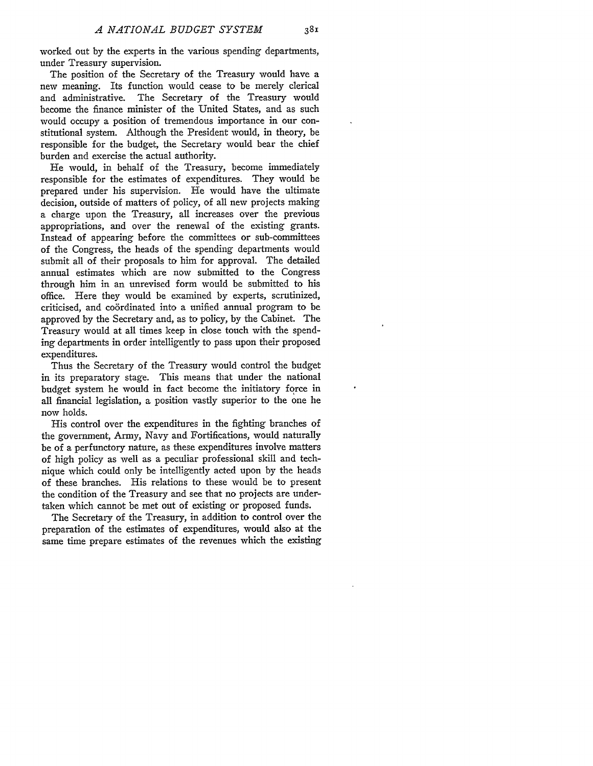worked out by the experts in the various spending departments, under Treasury supervision.

The position of the Secretary of the Treasury would have a new meaning. Its function would cease to be merely clerical and administrative. The Secretary of the Treasury would become the finance minister of the United States, and as such would occupy a position of tremendous importance in our constitutional system. Although the President would, in theory, be responsible for the budget, the Secretary would bear the chief burden and exercise the actual authority.

He would, in behalf of the Treasury, become immediately responsible for the estimates of expenditures. They would be prepared under his supervision. He would have the ultimate decision, outside of matters of policy, of all new projects making a charge upon the Treasury, all increases over the previous appropriations, and over the renewal of the existing grants. Instead of appearing before the committees or sub-committees of the Congress, the heads of the spending departments would submit all of their proposals to him for approval. The detailed annual estimates which are now submitted to the Congress through him in an unrevised form would be submitted to his office. Here they would be examined by experts, scrutinized, criticised, and coördinated into a unified annual program to be approved by the Secretary and, as to policy, by the Cabinet. The Treasury would at all times keep in close touch with the spending departments in order intelligently to pass upon their proposed expenditures.

Thus the Secretary of the Treasury would control the budget in its preparatory stage. This means that under the national budget system he would in fact become the initiatory force in all financial legislation, a position vastly superior to the one he now holds.

His control over the expenditures in the fighting branches of the government, Army, Navy and Fortifications, would naturally be of a perfunctory nature, as these expenditures involve matters of high policy as well as a peculiar professional skill and technique which could only be intelligently acted upon by the heads of these branches. His relations to these would be to present the condition of the Treasury and see that no projects are undertaken which cannot be met out of existing or proposed funds.

The Secretary of the Treasury, in addition to control over the preparation of the estimates of expenditures, would also at the same time prepare estimates of the revenues which the existing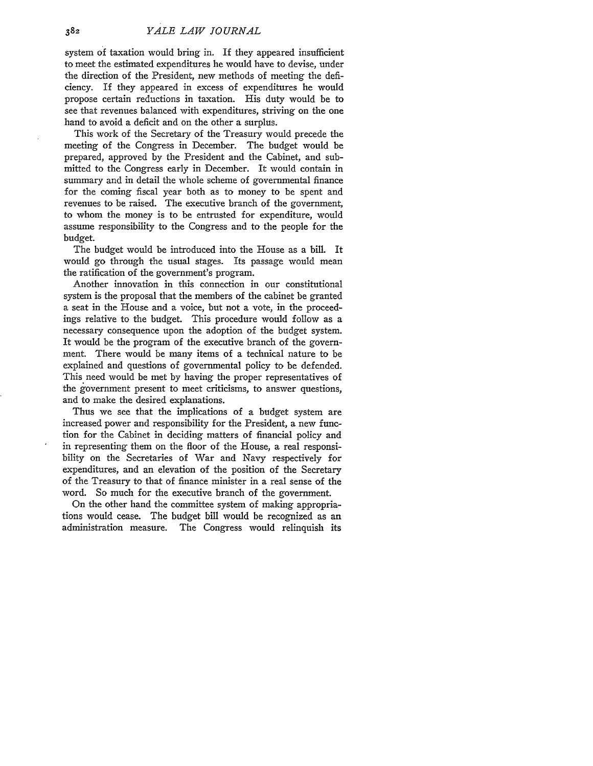system of taxation would bring in. If they appeared insufficient to meet the estimated expenditures he would have to devise, under the direction of the President, new methods of meeting the deficiency. If they appeared in excess of expenditures he would propose certain reductions in taxation. His duty would be to see that revenues balanced with expenditures, striving on the one hand to avoid a deficit and on the other a surplus.

This work of the Secretary of the Treasury would precede the meeting of the Congress in December. The budget would be prepared, approved by the President and the Cabinet, and submitted to the Congress early in December. It would contain in summary and in detail the whole scheme of governmental finance for the coming fiscal year both as to money to be spent and revenues to be raised. The executive branch of the government, to whom the money is to be entrusted for expenditure, would assume responsibility to the Congress and to the people for the budget.

The budget would be introduced into the House as a bill. It would go through the usual stages. Its passage would mean the ratification of the government's program.

Another innovation in this connection in our constitutional system is the proposal that the members of the cabinet be granted a seat in the House and a voice, but not a vote, in the proceedings relative to the budget. This procedure would follow as a necessary consequence upon the adoption of the budget system. It would be the program of the executive branch of the government. There would be many items of a technical nature to be explained and questions of governmental policy to be defended. This need would be met by having the proper representatives of the government present to meet criticisms, to answer questions, and to make the desired explanations.

Thus we see that the implications of a budget system are increased power and responsibility for the President, a new function for the Cabinet in deciding matters of financial policy and in representing them on the floor of the House, a real responsibility on the Secretaries of War and Navy respectively for expenditures, and an elevation of the position of the Secretary of the Treasury to that of finance minister in a real sense of the word. So much for the executive branch of the government.

On the other hand the committee system of making appropriations would cease. The budget bill would be recognized as an administration measure. The Congress would relinquish its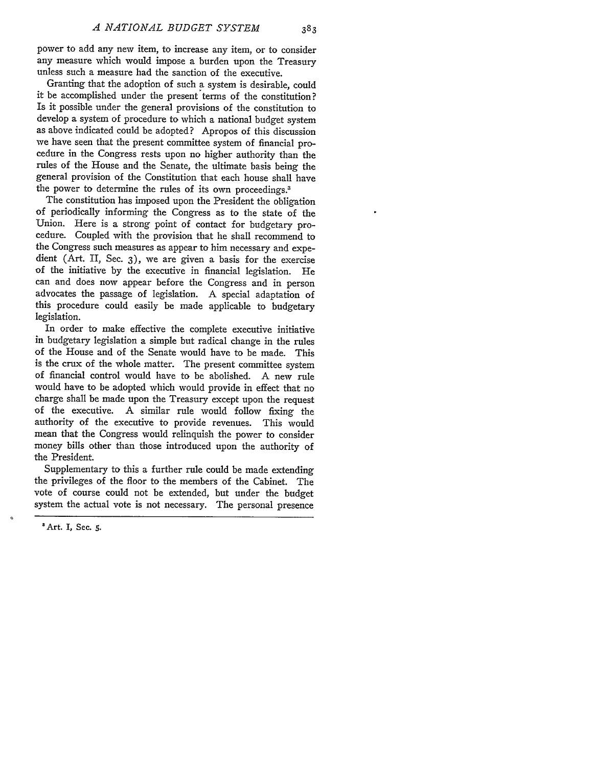power to add any new item, to increase any item, or to consider any measure which would impose a burden upon the Treasury unless such a measure had the sanction of the executive.

Granting that the adoption of such a system is desirable, could it be accomplished under the present terms of the constitution? Is it possible under the general provisions of the constitution to develop a system of procedure to which a national budget system as above indicated could be adopted? Apropos of this discussion we have seen that the present committee system of financial procedure in the Congress rests upon no higher authority than the rules of the House and the Senate, the ultimate basis being the general provision of the Constitution that each house shall have the power to determine the rules of its own proceedings.<sup>3</sup>

The constitution has imposed upon the President the obligation of periodically informing the Congress as to the state of the Union. Here is a strong point of contact for budgetary procedure. Coupled with the provision that he shall recommend to the Congress such measures as appear to him necessary and expedient (Art. II, Sec. 3), we are given a basis for the exercise of the initiative by the executive in financial legislation. He can and does now appear before the Congress and in person advocates the passage of legislation. A special adaptation of this procedure could easily be made applicable to budgetary legislation.

In order to make effective the complete executive initiative in budgetary legislation a simple but radical change in the rules of the House and of the Senate would have to be made. This is the crux of the whole matter. The present committee system of financial control would have to be abolished. A new rule would have to be adopted which would provide in effect that no charge shall be made upon the Treasury except upon the request of the executive. A similar rule would follow fixing the authority of the executive to provide revenues. This would mean that the Congress would relinquish the power to consider money bills other than those introduced upon the authority of the President.

Supplementary to this a further rule could be made extending the privileges of the floor to the members of the Cabinet. The vote of course could not be extended, but under the budget system the actual vote is not necessary. The personal presence

<sup>&#</sup>x27;Art. I, Sec. 5.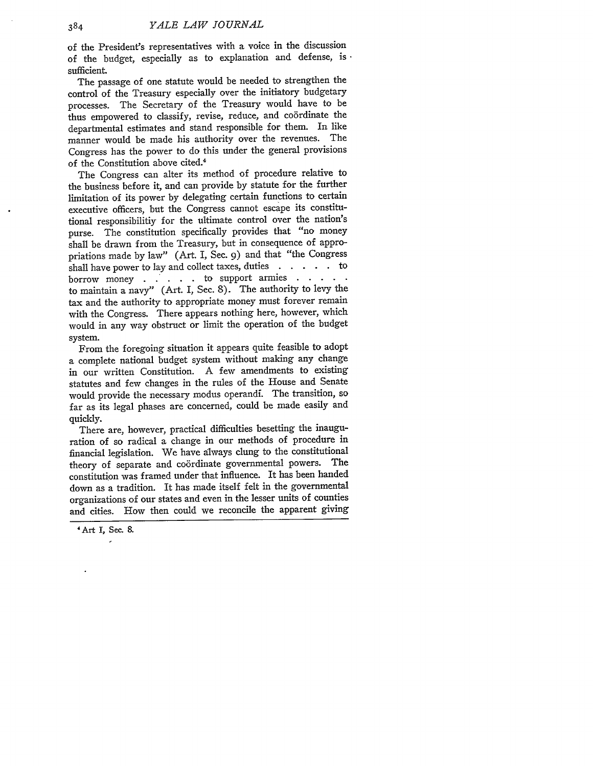of the President's representatives with a voice in the discussion of the budget, especially as to explanation and defense, is  $\cdot$ sufficient.

The passage of one statute would be needed to strengthen the control of the Treasury especially over the initiatory budgetary processes. The Secretary of the Treasury would have to be thus empowered to classify, revise, reduce, and coördinate the departmental estimates and stand responsible for them. In like manner would be made his authority over the revenues. The Congress has the power to do this under the general provisions of the Constitution above cited.<sup>4</sup>

The Congress can alter its method of procedure relative to the business before it, and can provide by statute for the further limitation of its power by delegating certain functions to certain executive officers, but the Congress cannot escape its constitutional responsibilitiy for the ultimate control over the nation's purse. The constitution specifically provides that "no money shall be drawn from the Treasury, but in consequence of appropriations made by law" (Art. I, Sec. 9) and that "the Congress shall have power to lay and collect taxes, duties ..... **... to** borrow money . . . . . to support armies . . . . . to maintain a navy" (Art. I, Sec. 8). The authority to levy the tax and the authority to appropriate money must forever remain with the Congress. There appears nothing here, however, which would in any way obstruct or limit the operation of the budget system.

From the foregoing situation it appears quite feasible to adopt a complete national budget system without making any change in our written Constitution. A few amendments to existing statutes and few changes in the rules of the House and Senate would provide the necessary modus operandi. The transition, so far as its legal phases are concerned, could be made easily and quickly.

There are, however, practical difficulties besetting the inauguration of so radical a change in our methods of procedure in financial legislation. We have always clung to the constitutional theory of separate and coördinate governmental powers. The constitution was framed under that influence. It has been handed down as a tradition. It has made itself felt in the governmental organizations of our states and even in the lesser units of counties and cities. How then could we reconcile the apparent giving

<sup>&</sup>quot;Art I, Sec. **8.**